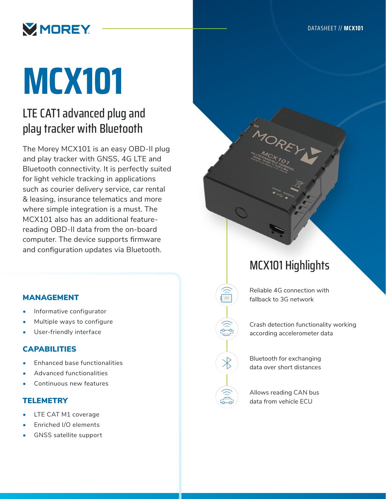

# **MCX101**

## LTE CAT1 advanced plug and play tracker with Bluetooth

The Morey MCX101 is an easy OBD-II plug and play tracker with GNSS, 4G LTE and Bluetooth connectivity. It is perfectly suited for light vehicle tracking in applications such as courier delivery service, car rental & leasing, insurance telematics and more where simple integration is a must. The MCX101 also has an additional featurereading OBD-II data from the on-board computer. The device supports firmware and configuration updates via Bluetooth.

#### MANAGEMENT

- Informative configurator
- Multiple ways to configure
- User-friendly interface

#### CAPABILITIES

- Enhanced base functionalities
- Advanced functionalities
- Continuous new features

#### **TELEMETRY**

- LTE CAT M1 coverage
- Enriched I/O elements
- GNSS satellite support

### MCX101 Highlights

Reliable 4G connection with fallback to 3G network

Crash detection functionality working according accelerometer data

Bluetooth for exchanging data over short distances

Allows reading CAN bus data from vehicle ECU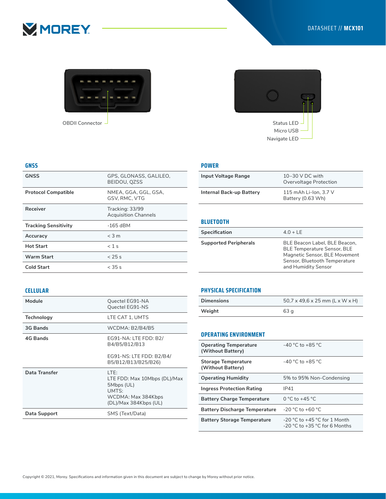



OBDII Connector

**GNSS** GPS, GLONASS, GALILEO,

**Protocol Compatible** NMEA, GGA, GGL, GSA,

Receiver Tracking: 33/99

Tracking Sensitivity **-165 dBM Accuracy** < 3 m **Hot Start** < 1 s **Warm Start** < 25 s **Cold Start** < 35 s

BEIDOU, QZSS

GSV, RMC, VTG

Acquisition Channels

# Status LED Micro USB Navigate LED

#### **POWER**

| Input Voltage Range      | $10-30$ V DC with<br>Overvoltage Protection |
|--------------------------|---------------------------------------------|
| Internal Back-up Battery | 115 mAh Li-Ion, 3.7 V<br>Battery (0.63 Wh)  |

#### **BLUETOOTH**

| Specification                | $4.0 + LE$                                                                                                                                                   |
|------------------------------|--------------------------------------------------------------------------------------------------------------------------------------------------------------|
| <b>Supported Peripherals</b> | BLE Beacon Label, BLE Beacon,<br><b>BLE Temperature Sensor, BLE</b><br>Magnetic Sensor, BLE Movement<br>Sensor, Bluetooth Temperature<br>and Humidity Sensor |

#### **CELLULAR**

**GNSS**

| Module        | Quectel EG91-NA<br>Quectel EG91-NS                                                                         |
|---------------|------------------------------------------------------------------------------------------------------------|
| Technology    | LTE CAT 1, UMTS                                                                                            |
| 3G Bands      | WCDMA: B2/B4/B5                                                                                            |
| 4G Bands      | EG91-NA: LTE FDD: B2/<br>B4/B5/B12/B13                                                                     |
|               | EG91-NS: LTE FDD: B2/B4/<br>B5/B12/B13/B25/B26)                                                            |
| Data Transfer | LTE:<br>LTE FDD: Max 10Mbps (DL)/Max<br>5Mbps (UL)<br>UMTS:<br>WCDMA: Max 384Kbps<br>(DL)/Max 384Kbps (UL) |
| Data Support  | SMS (Text/Data)                                                                                            |

#### **PHYSICAL SPECIFICATION**

| <b>Dimensions</b> | $50.7 \times 49.6 \times 25$ mm (L x W x H) |
|-------------------|---------------------------------------------|
| Weight            | 63 a                                        |

#### **OPERATING ENVIRONMENT**

| <b>Operating Temperature</b><br>(Without Battery) | $-40$ °C to $+85$ °C                                                  |
|---------------------------------------------------|-----------------------------------------------------------------------|
| <b>Storage Temperature</b><br>(Without Battery)   | $-40$ °C to $+85$ °C.                                                 |
| <b>Operating Humidity</b>                         | 5% to 95% Non-Condensing                                              |
| <b>Ingress Protection Rating</b>                  | IP41                                                                  |
| <b>Battery Charge Temperature</b>                 | 0 °C to +45 °C                                                        |
| <b>Battery Discharge Temperature</b>              | $-20$ °C to $+60$ °C                                                  |
| <b>Battery Storage Temperature</b>                | $-20$ °C to $+45$ °C for 1 Month<br>$-20$ °C to $+35$ °C for 6 Months |